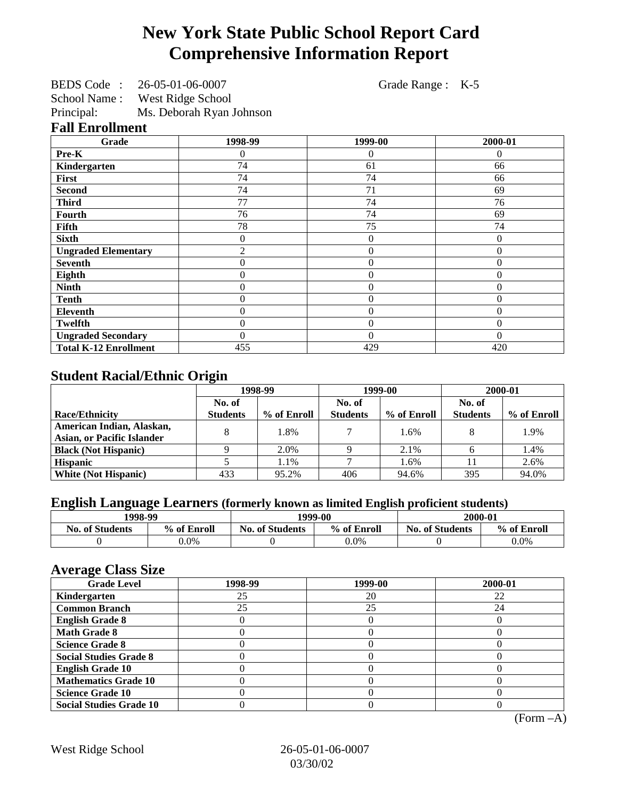# **New York State Public School Report Card Comprehensive Information Report**

|  | BEDS Code: 26-05-01-06-0007 | Grade Range : K-5 |  |
|--|-----------------------------|-------------------|--|
|--|-----------------------------|-------------------|--|

School Name : West Ridge School

| Principal: | Ms. Deborah Ryan Johnson |
|------------|--------------------------|

#### **Fall Enrollment**

| Grade                        | 1998-99        | 1999-00        | 2000-01      |
|------------------------------|----------------|----------------|--------------|
| Pre-K                        | 0              | $\Omega$       | $\Omega$     |
| Kindergarten                 | 74             | 61             | 66           |
| First                        | 74             | 74             | 66           |
| <b>Second</b>                | 74             | 71             | 69           |
| <b>Third</b>                 | 77             | 74             | 76           |
| Fourth                       | 76             | 74             | 69           |
| Fifth                        | 78             | 75             | 74           |
| <b>Sixth</b>                 | 0              | $\overline{0}$ | $\theta$     |
| <b>Ungraded Elementary</b>   | 2              | $\overline{0}$ | $\theta$     |
| <b>Seventh</b>               | 0              | $\overline{0}$ | $\theta$     |
| Eighth                       | $\overline{0}$ | $\theta$       | $\mathbf{0}$ |
| <b>Ninth</b>                 | 0              | $\overline{0}$ | $\theta$     |
| <b>Tenth</b>                 | $\overline{0}$ | $\overline{0}$ | $\theta$     |
| <b>Eleventh</b>              | $\overline{0}$ | $\overline{0}$ | $\mathbf{0}$ |
| <b>Twelfth</b>               | 0              | $\overline{0}$ | $\theta$     |
| <b>Ungraded Secondary</b>    | $\theta$       | $\theta$       | $\Omega$     |
| <b>Total K-12 Enrollment</b> | 455            | 429            | 420          |

# **Student Racial/Ethnic Origin**

|                                   | 1998-99         |             | 1999-00         |             | 2000-01         |             |
|-----------------------------------|-----------------|-------------|-----------------|-------------|-----------------|-------------|
|                                   | No. of          |             | No. of          |             | No. of          |             |
| <b>Race/Ethnicity</b>             | <b>Students</b> | % of Enroll | <b>Students</b> | % of Enroll | <b>Students</b> | % of Enroll |
| American Indian, Alaskan,         |                 | 1.8%        |                 | 1.6%        |                 | 1.9%        |
| <b>Asian, or Pacific Islander</b> |                 |             |                 |             |                 |             |
| <b>Black (Not Hispanic)</b>       |                 | 2.0%        |                 | 2.1%        |                 | 1.4%        |
| <b>Hispanic</b>                   |                 | 1.1%        |                 | 1.6%        |                 | 2.6%        |
| <b>White (Not Hispanic)</b>       | 433             | 95.2%       | 406             | 94.6%       | 395             | 94.0%       |

# **English Language Learners (formerly known as limited English proficient students)**

| 1998-99                |             | 1999-00                |             | 2000-01                |             |
|------------------------|-------------|------------------------|-------------|------------------------|-------------|
| <b>No. of Students</b> | % of Enroll | <b>No. of Students</b> | % of Enroll | <b>No. of Students</b> | % of Enroll |
|                        | $0.0\%$     |                        | $0.0\%$     |                        | 0.0%        |

#### **Average Class Size**

| <u>ਾ</u> ਰਾ<br><b>Grade Level</b> | 1998-99 | 1999-00 | 2000-01 |
|-----------------------------------|---------|---------|---------|
| Kindergarten                      | 25      | 20      | 22      |
| <b>Common Branch</b>              | 25      | 25      | 24      |
| <b>English Grade 8</b>            |         |         |         |
| <b>Math Grade 8</b>               |         |         |         |
| <b>Science Grade 8</b>            |         |         |         |
| <b>Social Studies Grade 8</b>     |         |         |         |
| <b>English Grade 10</b>           |         |         |         |
| <b>Mathematics Grade 10</b>       |         |         |         |
| <b>Science Grade 10</b>           |         |         |         |
| <b>Social Studies Grade 10</b>    |         |         |         |

(Form –A)